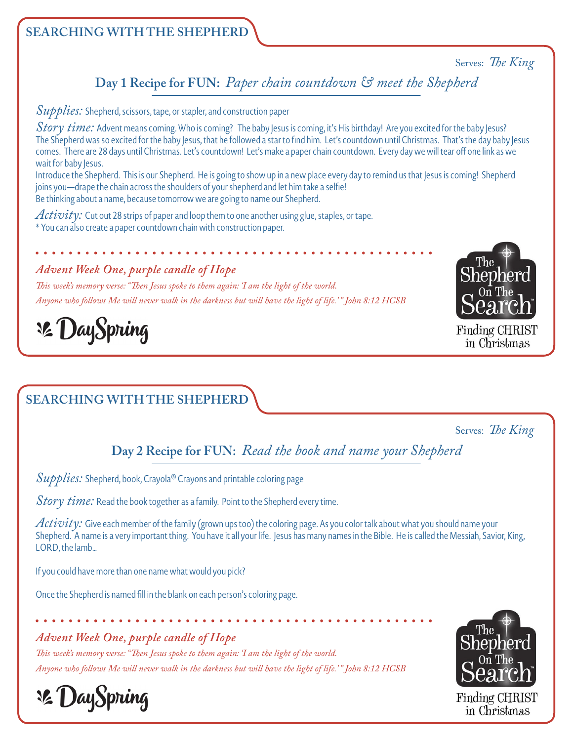#### Serves: *The King*

**Day 1 Recipe for FUN:** *Paper chain countdown & meet the Shepherd*

*Supplies:* Shepherd, scissors, tape, or stapler, and construction paper

*Story time:* Advent means coming. Who is coming? The baby Jesus is coming, it's His birthday! Are you excited for the baby Jesus? The Shepherd was so excited for the baby Jesus, that he followed a star to find him. Let's countdown until Christmas. That's the day baby Jesus comes. There are 28 days until Christmas. Let's countdown! Let's make a paper chain countdown. Every day we will tear off one link as we wait for baby Jesus.

Introduce the Shepherd. This is our Shepherd. He is going to show up in a new place every day to remind us that Jesus is coming! Shepherd joins you—drape the chain across the shoulders of your shepherd and let him take a selfie! Be thinking about a name, because tomorrow we are going to name our Shepherd.

*Activity:* Cut out 28 strips of paper and loop them to one another using glue, staples, or tape. \* You can also create a paper countdown chain with construction paper.

#### *Advent Week One, purple candle of Hope*

*This week's memory verse: "Then Jesus spoke to them again: 'I am the light of the world. Anyone who follows Me will never walk in the darkness but will have the light of life.' " John 8:12 HCSB*



Finding CHRIST in Christmas

**32 DaySpring** 

# **SEARCHING WITH THE SHEPHERD**

#### Serves: *The King*

**Day 2 Recipe for FUN:** *Read the book and name your Shepherd*

*Supplies:* Shepherd, book, Crayola® Crayons and printable coloring page

*Story time:* Read the book together as a family. Point to the Shepherd every time.

*Activity:* Give each member of the family (grown ups too) the coloring page. As you color talk about what you should name your Shepherd. A name is a very important thing. You have it all your life. Jesus has many names in the Bible. He is called the Messiah, Savior, King, LORD, the lamb…

If you could have more than one name what would you pick?

Once the Shepherd is named fill in the blank on each person's coloring page.

## *Advent Week One, purple candle of Hope*

*This week's memory verse: "Then Jesus spoke to them again: 'I am the light of the world. Anyone who follows Me will never walk in the darkness but will have the light of life.' " John 8:12 HCSB*



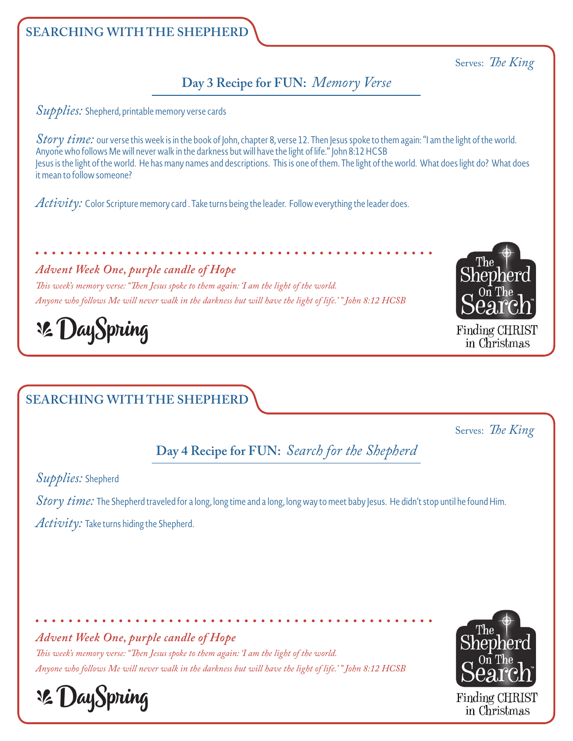#### Serves: *The King*

## **Day 3 Recipe for FUN:** *Memory Verse*

*Supplies:* Shepherd, printable memory verse cards

*Story time:* our verse this week is in the book of John, chapter 8, verse 12. Then Jesus spoke to them again: "I am the light of the world. Anyone who follows Me will never walk in the darkness but will have the light of life." John 8:12 HCSB Jesus is the light of the world. He has many names and descriptions. This is one of them. The light of the world. What does light do? What does it mean to follow someone?

*Activity:* Color Scripture memory card . Take turns being the leader. Follow everything the leader does.

*Advent Week One, purple candle of Hope*

*This week's memory verse: "Then Jesus spoke to them again: 'I am the light of the world. Anyone who follows Me will never walk in the darkness but will have the light of life.' " John 8:12 HCSB*



Finding CHRIST in Christmas

**Le DaySpring** 

# **SEARCHING WITH THE SHEPHERD**

Serves: *The King*

**Day 4 Recipe for FUN:** *Search for the Shepherd*

*Supplies:* Shepherd

*Story time:* The Shepherd traveled for a long, long time and a long, long way to meet baby Jesus. He didn't stop until he found Him. *Activity:* Take turns hiding the Shepherd.

*Advent Week One, purple candle of Hope*

*This week's memory verse: "Then Jesus spoke to them again: 'I am the light of the world. Anyone who follows Me will never walk in the darkness but will have the light of life.' " John 8:12 HCSB*



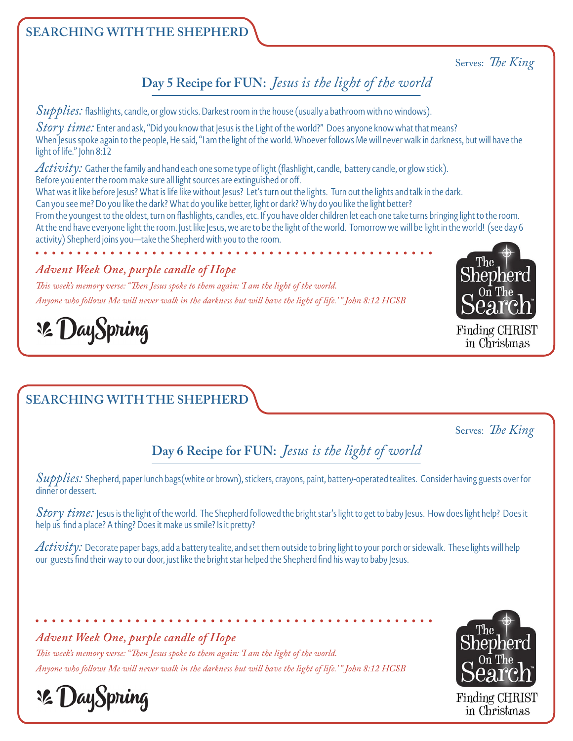## Serves: *The King*

# **Day 5 Recipe for FUN:** *Jesus is the light of the world*

*Supplies:* flashlights, candle, or glow sticks. Darkest room in the house (usually a bathroom with no windows).

*Story time*: Enter and ask, "Did you know that Jesus is the Light of the world?" Does anyone know what that means? When Jesus spoke again to the people, He said, "I am the light of the world. Whoever follows Me will never walk in darkness, but will have the light of life." John 8:12

*Activity:* Gather the family and hand each one some type of light (flashlight, candle, battery candle, or glow stick). Before you enter the room make sure all light sources are extinguished or off.

What was it like before Jesus? What is life like without Jesus? Let's turn out the lights. Turn out the lights and talk in the dark.

Can you see me? Do you like the dark? What do you like better, light or dark? Why do you like the light better?

From the youngest to the oldest, turn on flashlights, candles, etc. If you have older children let each one take turns bringing light to the room. At the end have everyone light the room. Just like Jesus, we are to be the light of the world. Tomorrow we will be light in the world! (see day 6 activity) Shepherd joins you—take the Shepherd with you to the room.

## *Advent Week One, purple candle of Hope*

*This week's memory verse: "Then Jesus spoke to them again: 'I am the light of the world. Anyone who follows Me will never walk in the darkness but will have the light of life.' " John 8:12 HCSB*



Finding CHRIST in Christmas

# **32 DaySpring**

# **SEARCHING WITH THE SHEPHERD**

Serves: *The King*

# **Day 6 Recipe for FUN:** *Jesus is the light of world*

*Supplies:* Shepherd, paper lunch bags(white or brown), stickers, crayons, paint, battery-operated tealites. Consider having guests over for dinner or dessert.

*Story time:* Jesus is the light of the world. The Shepherd followed the bright star's light to get to baby Jesus. How does light help? Does it help us find a place? A thing? Does it make us smile? Is it pretty?

*Activity:* Decorate paper bags, add a battery tealite, and set them outside to bring light to your porch or sidewalk. These lights will help our guests find their way to our door, just like the bright star helped the Shepherd find his way to baby Jesus.

## *Advent Week One, purple candle of Hope*

*This week's memory verse: "Then Jesus spoke to them again: 'I am the light of the world. Anyone who follows Me will never walk in the darkness but will have the light of life.' " John 8:12 HCSB*





in Christmas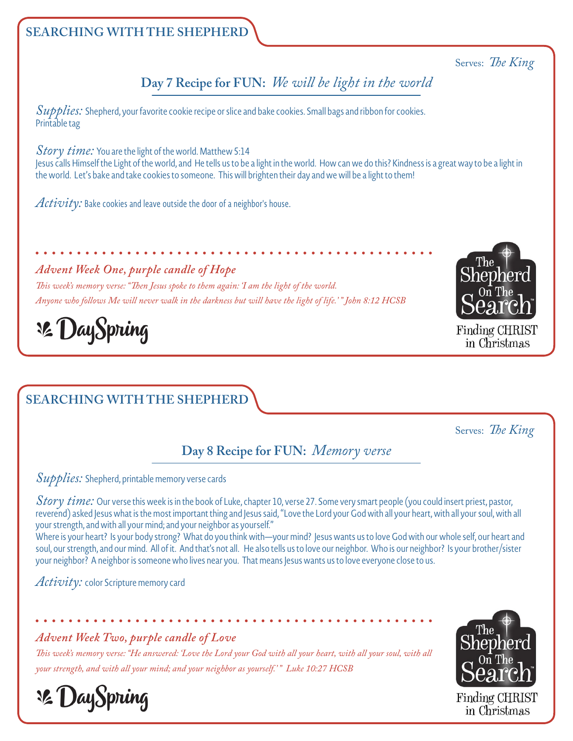#### Serves: *The King*

**Day 7 Recipe for FUN:** *We will be light in the world* 

*Supplies:* Shepherd, your favorite cookie recipe or slice and bake cookies. Small bags and ribbon for cookies. Printable tag

*Story time:* You are the light of the world.Matthew 5:14 Jesus calls Himself the Light of the world, and He tells us to be a light in the world. How can we do this? Kindness is a great way to be a light in the world. Let's bake and take cookies to someone. This will brighten their day and we will be a light to them!

*Activity:* Bake cookies and leave outside the door of a neighbor's house.

#### *Advent Week One, purple candle of Hope*

*This week's memory verse: "Then Jesus spoke to them again: 'I am the light of the world. Anyone who follows Me will never walk in the darkness but will have the light of life.' " John 8:12 HCSB*



Finding CHRIST in Christmas

**32 DaySpring** 

## **SEARCHING WITH THE SHEPHERD**

Serves: *The King*

## **Day 8 Recipe for FUN:** *Memory verse*

*Supplies:* Shepherd, printable memory verse cards

*Story time:* Our verse this week is in the book of Luke, chapter 10, verse 27. Some very smart people (you could insert priest, pastor, reverend) asked Jesus what is the most important thing and Jesus said, "Love the Lord your God with all your heart, with all your soul, with all your strength, and with all your mind; and your neighbor as yourself."

Where is your heart? Is your body strong? What do you think with—your mind? Jesus wants us to love God with our whole self, our heart and soul, our strength, and our mind. All of it. And that's not all. He also tells us to love our neighbor. Who is our neighbor? Is your brother/sister your neighbor? A neighbor is someone who lives near you. That means Jesus wants us to love everyone close to us.

*Activity:* color Scripture memory card

**32 DaySpring** 

#### *Advent Week Two, purple candle of Love*

*This week's memory verse: "He answered: 'Love the Lord your God with all your heart, with all your soul, with all your strength, and with all your mind; and your neighbor as yourself.' " Luke 10:27 HCSB*

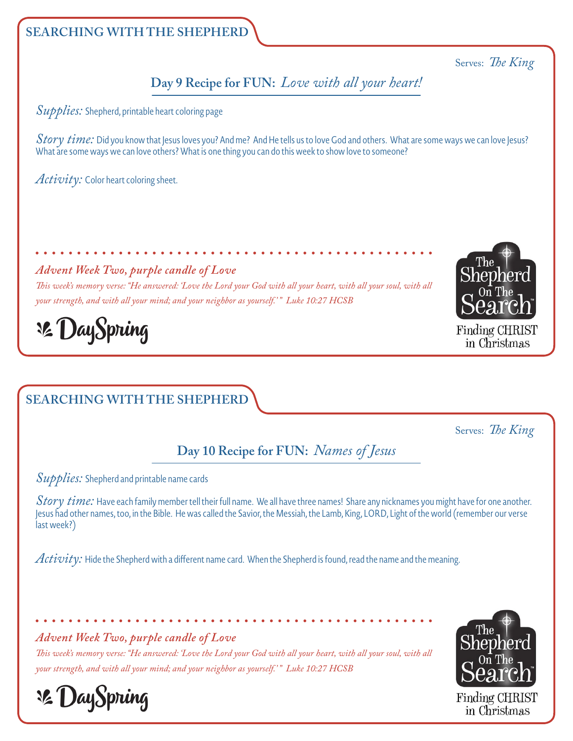#### Serves: *The King*

**Day 9 Recipe for FUN:** *Love with all your heart!*

*Supplies:* Shepherd, printable heart coloring page

*Story time:* Did you know that Jesus loves you? And me? And He tells us to love God and others. What are some ways we can love Jesus? What are some ways we can love others? What is one thing you can do this week to show love to someone?

*Activity:* Color heart coloring sheet.

#### *Advent Week Two, purple candle of Love*

*This week's memory verse: "He answered: 'Love the Lord your God with all your heart, with all your soul, with all your strength, and with all your mind; and your neighbor as yourself.' " Luke 10:27 HCSB*



Finding CHRIST in Christmas

# **Le DaySpring**

# **SEARCHING WITH THE SHEPHERD**

Serves: *The King*

# **Day 10 Recipe for FUN:** *Names of Jesus*

*Supplies:* Shepherd and printable name cards

*Story time:* Have each family member tell their full name. We all have three names! Share any nicknames you might have for one another. Jesus had other names, too, in the Bible. He was called the Savior, the Messiah, the Lamb, King, LORD, Light of the world (remember our verse last week?)

*Activity:* Hide the Shepherd with a different name card. When the Shepherd is found, read the name and the meaning.

*Advent Week Two, purple candle of Love*

*This week's memory verse: "He answered: 'Love the Lord your God with all your heart, with all your soul, with all your strength, and with all your mind; and your neighbor as yourself.' " Luke 10:27 HCSB*



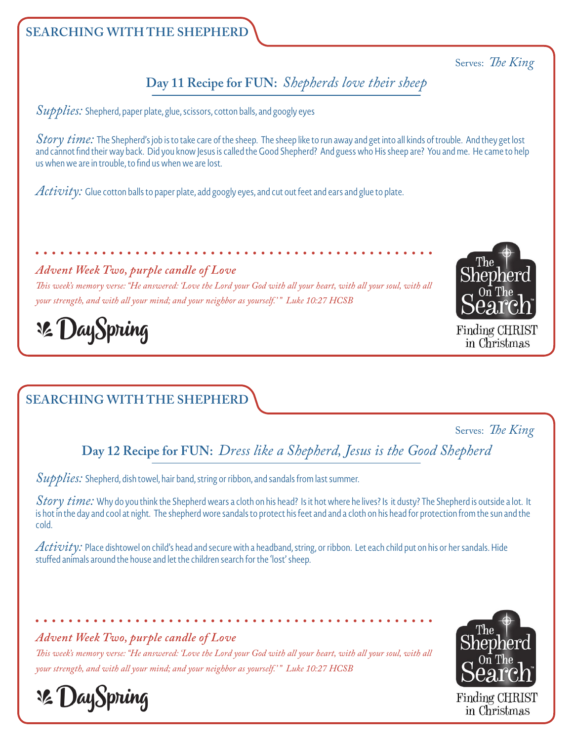#### Serves: *The King*

## **Day 11 Recipe for FUN:** *Shepherds love their sheep*

*Supplies:* Shepherd, paper plate, glue, scissors, cotton balls, and googly eyes

*Story time:* The Shepherd's job is to take care of the sheep. The sheep like to run away and get into all kinds of trouble. And they get lost and cannot find their way back. Did you know Jesus is called the Good Shepherd? And guess who His sheep are? You and me. He came to help us when we are in trouble, to find us when we are lost.

*Activity:* Glue cotton balls to paper plate, add googly eyes, and cut out feet and ears and glue to plate.

#### *Advent Week Two, purple candle of Love*

*This week's memory verse: "He answered: 'Love the Lord your God with all your heart, with all your soul, with all your strength, and with all your mind; and your neighbor as yourself.' " Luke 10:27 HCSB*



Finding CHRIST in Christmas

# **32 DaySpring**

# **SEARCHING WITH THE SHEPHERD**

#### Serves: *The King*

**Day 12 Recipe for FUN:** *Dress like a Shepherd, Jesus is the Good Shepherd* 

*Supplies:* Shepherd, dish towel, hair band, string or ribbon, and sandals from last summer.

*Story time:* Why do you think the Shepherd wears a cloth on his head? Is it hot where he lives? Is it dusty? The Shepherd is outside a lot. It is hot in the day and cool at night. The shepherd wore sandals to protect his feet and and a cloth on his head for protection from the sun and the cold.

*Activity:* Place dishtowel on child's head and secure with a headband, string, or ribbon. Let each child put on his or her sandals. Hide stuffed animals around the house and let the children search for the 'lost' sheep.

#### *Advent Week Two, purple candle of Love*

*This week's memory verse: "He answered: 'Love the Lord your God with all your heart, with all your soul, with all your strength, and with all your mind; and your neighbor as yourself.' " Luke 10:27 HCSB*





in Christmas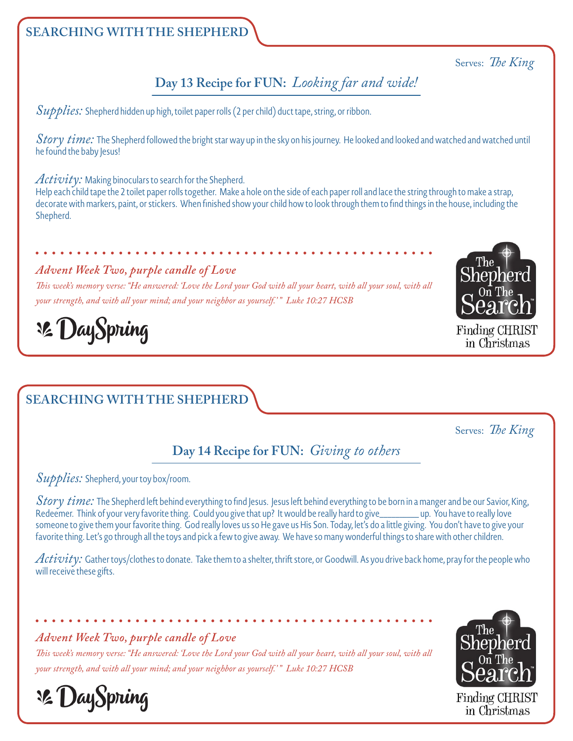#### Serves: *The King*

# **Day 13 Recipe for FUN:** *Looking far and wide!*

*Supplies:* Shepherd hidden up high, toilet paper rolls (2 per child) duct tape, string, or ribbon.

*Story time:* The Shepherd followed the bright star way up in the sky on his journey. He looked and looked and watched and watched until he found the baby Jesus!

#### *Activity:* Making binoculars to search for the Shepherd.

Help each child tape the 2 toilet paper rolls together. Make a hole on the side of each paper roll and lace the string through to make a strap, decorate with markers, paint, or stickers. When finished show your child how to look through them to find things in the house, including the Shepherd.

#### *Advent Week Two, purple candle of Love*

*This week's memory verse: "He answered: 'Love the Lord your God with all your heart, with all your soul, with all your strength, and with all your mind; and your neighbor as yourself.' " Luke 10:27 HCSB*



Finding CHRIST in Christmas

# **32 DaySpring**

# **SEARCHING WITH THE SHEPHERD**

Serves: *The King*

# **Day 14 Recipe for FUN:** *Giving to others*

#### *Supplies:* Shepherd, your toy box/room.

*Story time:* The Shepherd left behind everything to find Jesus. Jesus left behind everything to be born in a manger and be our Savior, King, Redeemer. Think of your very favorite thing. Could you give that up? It would be really hard to give\_\_\_\_\_\_\_\_\_ up. You have to really love someone to give them your favorite thing. God really loves us so He gave us His Son. Today, let's do a little giving. You don't have to give your favorite thing. Let's go through all the toys and pick a few to give away. We have so many wonderful things to share with other children.

*Activity:* Gather toys/clothes to donate. Take them to a shelter, thrift store, or Goodwill. As you drive back home, pray for the people who will receive these gifts.

#### *Advent Week Two, purple candle of Love*

**32 DaySpring** 

*This week's memory verse: "He answered: 'Love the Lord your God with all your heart, with all your soul, with all your strength, and with all your mind; and your neighbor as yourself.' " Luke 10:27 HCSB*

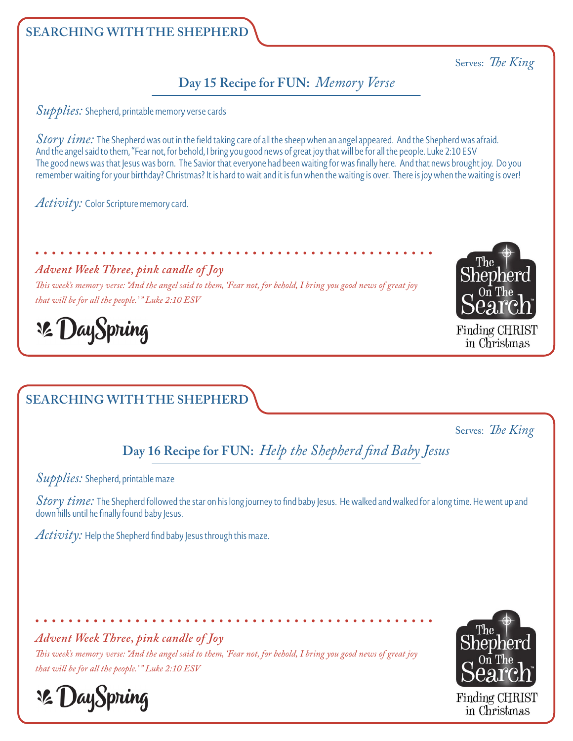## Serves: *The King*

## **Day 15 Recipe for FUN:** *Memory Verse*

*Supplies:* Shepherd, printable memory verse cards

*Story time:* The Shepherd was out in the field taking care of all the sheep when an angel appeared. And the Shepherd was afraid. And the angel said to them, "Fear not, for behold, I bring you good news of great joy that will be for all the people. Luke 2:10 ESV The good news was that Jesus was born. The Savior that everyone had been waiting for was finally here. And that news brought joy. Do you remember waiting for your birthday? Christmas? It is hard to wait and it is fun when the waiting is over. There is joy when the waiting is over!

*Activity:* Color Scripture memory card.

*Advent Week Three, pink candle of Joy*

*This week's memory verse: "And the angel said to them, 'Fear not, for behold, I bring you good news of great joy that will be for all the people.' " Luke 2:10 ESV*



Finding CHRIST in Christmas

**32 DaySpring** 

# **SEARCHING WITH THE SHEPHERD**

Serves: *The King*

**Day 16 Recipe for FUN:** *Help the Shepherd find Baby Jesus* 

*Supplies:* Shepherd, printable maze

*Story time:* The Shepherd followed the star on his long journey to find baby Jesus. He walked and walked for a long time. He went up and down hills until he finally found baby Jesus.

 $\overline{Activ:}$  Help the Shepherd find baby Jesus through this maze.

*Advent Week Three, pink candle of Joy*

*This week's memory verse: "And the angel said to them, 'Fear not, for behold, I bring you good news of great joy that will be for all the people.' " Luke 2:10 ESV*



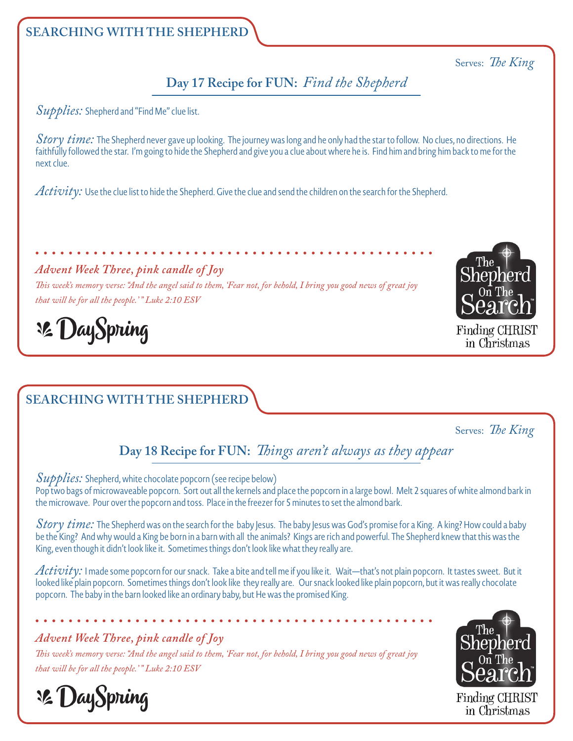#### Serves: *The King*

## **Day 17 Recipe for FUN:** *Find the Shepherd*

*Supplies:* Shepherd and "Find Me" clue list.

*Story time:* The Shepherd never gave up looking. The journey was long and he only had the star to follow. No clues, no directions. He faithfully followed the star. I'm going to hide the Shepherd and give you a clue about where he is. Find him and bring him back to me for the next clue.

*Activity:* Use the clue list to hide the Shepherd. Give the clue and send the children on the search for the Shepherd.

#### *Advent Week Three, pink candle of Joy*

*This week's memory verse: "And the angel said to them, 'Fear not, for behold, I bring you good news of great joy that will be for all the people.' " Luke 2:10 ESV*



Finding CHRIST in Christmas

**32 DaySpring** 

# **SEARCHING WITH THE SHEPHERD**

Serves: *The King*

# **Day 18 Recipe for FUN:** *Things aren't always as they appear*

*Supplies:* Shepherd, white chocolate popcorn (see recipe below) Pop two bags of microwaveable popcorn. Sort out all the kernels and place the popcorn in a large bowl. Melt 2 squares of white almond bark in the microwave. Pour over the popcorn and toss. Place in the freezer for 5 minutes to set the almond bark.

*Story time:* The Shepherd was on the search for the baby Jesus. The baby Jesus was God's promise for a King. A king? How could a baby be the King? And why would a King be born in a barn with all the animals? Kings are rich and powerful. The Shepherd knew that this was the King, even though it didn't look like it. Sometimes things don't look like what they really are.

*Activity:* I made some popcorn for our snack. Take a bite and tell me if you like it. Wait—that's not plain popcorn. It tastes sweet. But it looked like plain popcorn. Sometimes things don't look like they really are. Our snack looked like plain popcorn, but it was really chocolate popcorn. The baby in the barn looked like an ordinary baby, but He was the promised King.

#### *Advent Week Three, pink candle of Joy*

*This week's memory verse: "And the angel said to them, 'Fear not, for behold, I bring you good news of great joy that will be for all the people.' " Luke 2:10 ESV*



in Christmas

**Le DaySpring**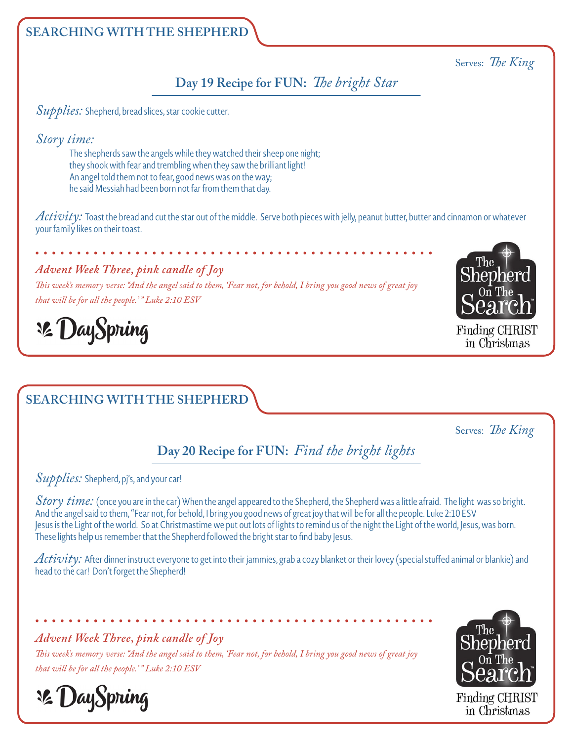### Serves: *The King*

## **Day 19 Recipe for FUN:** *The bright Star*

*Supplies:* Shepherd, bread slices, star cookie cutter.

*Story time:*

The shepherds saw the angels while they watched their sheep one night; they shook with fear and trembling when they saw the brilliant light! An angel told them not to fear, good news was on the way; he said Messiah had been born not far from them that day.

*Activity:* Toast the bread and cut the star out of the middle. Serve both pieces with jelly, peanut butter, butter and cinnamon or whatever your family likes on their toast.

#### *Advent Week Three, pink candle of Joy*

*This week's memory verse: "And the angel said to them, 'Fear not, for behold, I bring you good news of great joy that will be for all the people.' " Luke 2:10 ESV*



Finding CHRIST in Christmas

**32 DaySpring** 

# **SEARCHING WITH THE SHEPHERD**

Serves: *The King*

# **Day 20 Recipe for FUN:** *Find the bright lights*

#### *Supplies:* Shepherd, pj's, and your car!

*Story time:* (once you are in the car) When the angel appeared to the Shepherd, the Shepherd was a little afraid. The light was so bright. And the angel said to them, "Fear not, for behold, I bring you good news of great joy that will be for all the people. Luke 2:10 ESV Jesus is the Light of the world. So at Christmastime we put out lots of lights to remind us of the night the Light of the world, Jesus, was born. These lights help us remember that the Shepherd followed the bright star to find baby Jesus.

*Activity:* After dinner instruct everyone to get into their jammies, grab a cozy blanket or their lovey (special stuffed animal or blankie) and head to the car! Don't forget the Shepherd!

*Advent Week Three, pink candle of Joy*

*This week's memory verse: "And the angel said to them, 'Fear not, for behold, I bring you good news of great joy that will be for all the people.' " Luke 2:10 ESV*



**32 DaySpring**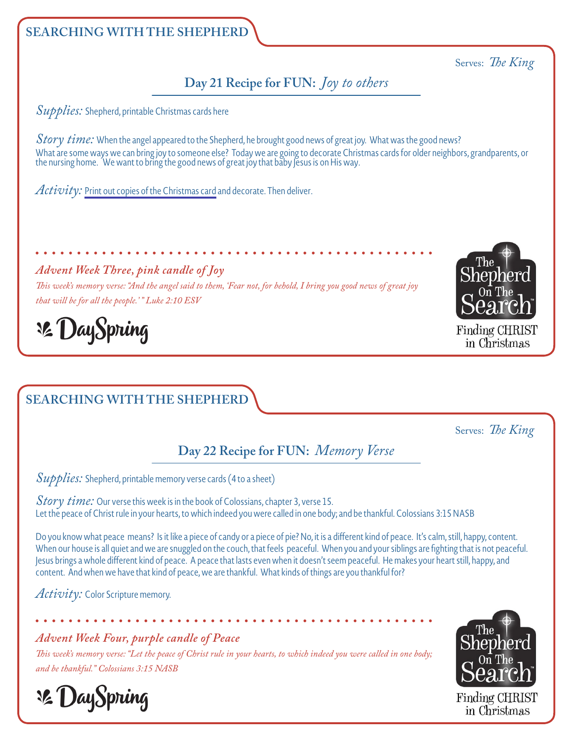# **Day 21 Recipe for FUN:** *Joy to others*

*Supplies:* Shepherd, printable Christmas cards here

*Story time:* When the angel appeared to the Shepherd, he brought good news of great joy. What was the good news? What are some ways we can bring joy to someone else? Today we are going to decorate Christmas cards for older neighbors, grandparents, or the nursing home. We want to bring the good news of great joy that baby Jesus is on His way.

*Activity:* [Print out copies of the Christmas card](https://shepherdonthesearch.com/wp-content/themes/sots-2020/images/recipes/SOTS_AdventPrintables.pdf) and decorate. Then deliver.

### *Advent Week Three, pink candle of Joy*

*This week's memory verse: "And the angel said to them, 'Fear not, for behold, I bring you good news of great joy that will be for all the people.' " Luke 2:10 ESV*



Serves: *The King*

Finding CHRIST in Christmas

**32 DaySpring** 

# **SEARCHING WITH THE SHEPHERD**

Serves: *The King*

# **Day 22 Recipe for FUN:** *Memory Verse*

*Supplies:* Shepherd, printable memory verse cards (4 to a sheet)

*Story time:* Our verse this week is in the book of Colossians, chapter 3, verse 15. Let the peace of Christ rule in your hearts, to which indeed you were called in one body; and be thankful. Colossians 3:15 NASB

Do you know what peace means? Is it like a piece of candy or a piece of pie? No, it is a different kind of peace. It's calm, still, happy, content. When our house is all quiet and we are snuggled on the couch, that feels peaceful. When you and your siblings are fighting that is not peaceful. Jesus brings a whole different kind of peace. A peace that lasts even when it doesn't seem peaceful. He makes your heart still, happy, and content. And when we have that kind of peace, we are thankful. What kinds of things are you thankful for?

*Activity:* Color Scripture memory.

## *Advent Week Four, purple candle of Peace*

*This week's memory verse: "Let the peace of Christ rule in your hearts, to which indeed you were called in one body; and be thankful." Colossians 3:15 NASB*



**32 DaySpring**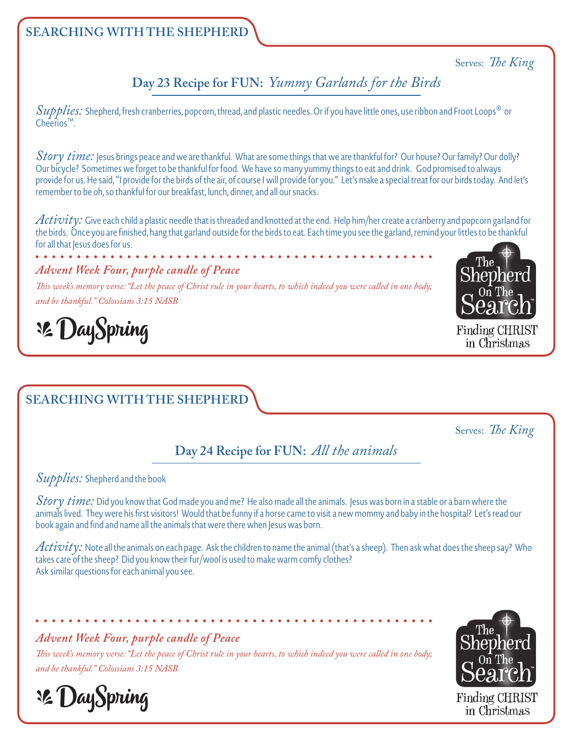#### Serves: *The King*

**Day 23 Recipe for FUN:** *Yummy Garlands for the Birds*

*Supplies:* Shepherd, fresh cranberries, popcorn, thread, and plastic needles. Or if you have little ones, use ribbon and Froot Loops® or Cheerios™.

*Story time:* Jesus brings peace and we are thankful. What are some things that we are thankful for? Our house? Our family? Our dolly? Our bicycle? Sometimes we forget to be thankful for food. We have so many yummy things to eat and drink. God promised to always provide for us. He said, "I provide for the birds of the air, of course I will provide for you." Let's make a special treat for our birds today. And let's remember to be oh, so thankful for our breakfast, lunch, dinner, and all our snacks.

*Activity:* Give each child a plastic needle that is threaded and knotted at the end. Help him/her create a cranberry and popcorn garland for the birds. Once you are finished, hang that garland outside for the birds to eat. Each time you see the garland, remind your littles to be thankful for all that Jesus does for us.

#### *Advent Week Four, purple candle of Peace*

*This week's memory verse: "Let the peace of Christ rule in your hearts, to which indeed you were called in one body; and be thankful." Colossians 3:15 NASB*



Finding CHRIST in Christmas

# **32 DaySpring**

## **SEARCHING WITH THE SHEPHERD**

Serves: *The King*

## **Day 24 Recipe for FUN:** *All the animals*

#### *Supplies:* Shepherd and the book

*Story time:* Did you know that God made you and me? He also made all the animals. Jesus was born in a stable or a barn where the animals lived. They were his first visitors! Would that be funny if a horse came to visit a new mommy and baby in the hospital? Let's read our book again and find and name all the animals that were there when Jesus was born.

*Activity:* Note all the animals on each page. Ask the children to name the animal (that's a sheep). Then ask what does the sheep say? Who takes care of the sheep? Did you know their fur/wool is used to make warm comfy clothes? Ask similar questions for each animal you see.

#### *Advent Week Four, purple candle of Peace*

*This week's memory verse: "Let the peace of Christ rule in your hearts, to which indeed you were called in one body; and be thankful." Colossians 3:15 NASB*



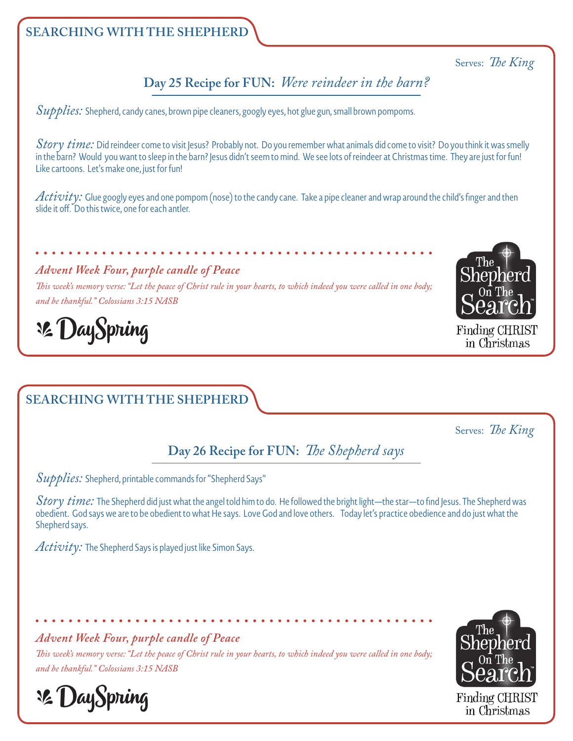#### Serves: *The King*

## **Day 25 Recipe for FUN:** *Were reindeer in the barn?*

*Supplies:* Shepherd, candy canes, brown pipe cleaners, googly eyes, hot glue gun, small brown pompoms.

*Story time:* Did reindeer come to visit Jesus? Probably not. Do you remember what animals did come to visit? Do you think it was smelly in the barn? Would you want to sleep in the barn? Jesus didn't seem to mind. We see lots of reindeer at Christmas time. They are just for fun! Like cartoons. Let's make one, just for fun!

*Activity:* Glue googly eyes and one pompom (nose) to the candy cane. Take a pipe cleaner and wrap around the child's finger and then slide it off. Do this twice, one for each antler.

#### *Advent Week Four, purple candle of Peace*

*This week's memory verse: "Let the peace of Christ rule in your hearts, to which indeed you were called in one body; and be thankful." Colossians 3:15 NASB*



Finding CHRIST in Christmas

**32 DaySpring** 

# **SEARCHING WITH THE SHEPHERD**

Serves: *The King*

# **Day 26 Recipe for FUN:** *The Shepherd says*

*Supplies:* Shepherd, printable commands for "Shepherd Says"

*Story time:* The Shepherd did just what the angel told him to do. He followed the bright light—the star—to find Jesus. The Shepherd was obedient. God says we are to be obedient to what He says. Love God and love others. Today let's practice obedience and do just what the Shepherd says.

*Activity:* The Shepherd Says is played just like Simon Says.

#### *Advent Week Four, purple candle of Peace*

*This week's memory verse: "Let the peace of Christ rule in your hearts, to which indeed you were called in one body; and be thankful." Colossians 3:15 NASB*



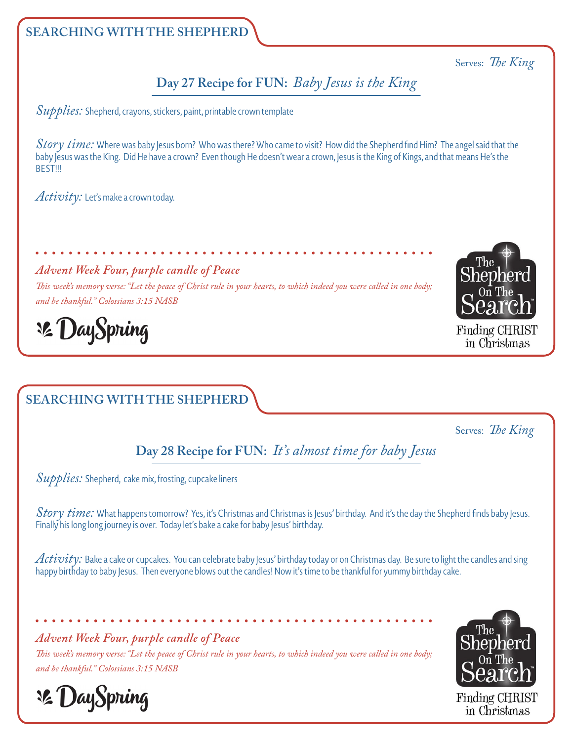### Serves: *The King*

## **Day 27 Recipe for FUN:** *Baby Jesus is the King*

*Supplies:* Shepherd, crayons, stickers, paint, printable crown template

*Story time:* Where was baby Jesus born? Who was there? Who came to visit? How did the Shepherd find Him? The angel said that the baby Jesus was the King. Did He have a crown? Even though He doesn't wear a crown, Jesus is the King of Kings, and that means He's the **BEST!!!** 

*Activity:* Let's make a crown today.

*Advent Week Four, purple candle of Peace*

*This week's memory verse: "Let the peace of Christ rule in your hearts, to which indeed you were called in one body; and be thankful." Colossians 3:15 NASB*



Finding CHRIST in Christmas

**32 DaySpring** 

# **SEARCHING WITH THE SHEPHERD**

Serves: *The King*

**Day 28 Recipe for FUN:** *It's almost time for baby Jesus* 

*Supplies:* Shepherd, cake mix, frosting, cupcake liners

*Story time:* What happens tomorrow? Yes, it's Christmas and Christmas is Jesus' birthday. And it's the day the Shepherd finds baby Jesus. Finally his long long journey is over. Today let's bake a cake for baby Jesus' birthday.

*Activity:* Bake a cake or cupcakes. You can celebrate baby Jesus' birthday today or on Christmas day. Be sure to light the candles and sing happy birthday to baby Jesus. Then everyone blows out the candles! Now it's time to be thankful for yummy birthday cake.

*Advent Week Four, purple candle of Peace*

*This week's memory verse: "Let the peace of Christ rule in your hearts, to which indeed you were called in one body; and be thankful." Colossians 3:15 NASB*



**32 DaySpring**